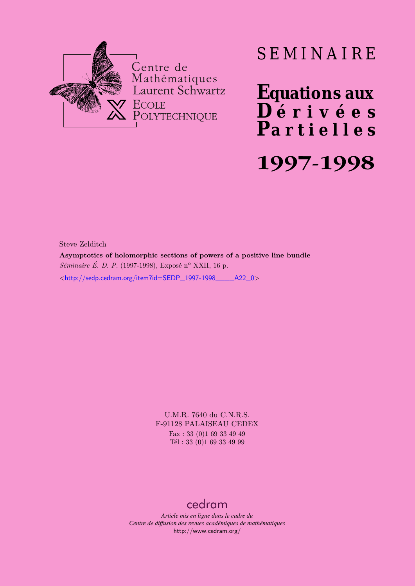

# SEMINAIRE

**Equations aux**  $\overline{\mathbf{D}}$  érivées **Partielles 1997-1998**

Steve Zelditch

**Asymptotics of holomorphic sections of powers of a positive line bundle** *Séminaire É. D. P.* (1997-1998), Exposé n<sup>o</sup> XXII, 16 p.  $\lt$ http://sedp.cedram.org/item?id=SEDP\_1997-1998\_\_\_\_\_A22\_0>

> U.M.R. 7640 du C.N.R.S. F-91128 PALAISEAU CEDEX Fax : 33 (0)1 69 33 49 49 Tél : 33 (0)1 69 33 49 99

## [cedram](http://www.cedram.org/)

*Article mis en ligne dans le cadre du Centre de diffusion des revues académiques de mathématiques* <http://www.cedram.org/>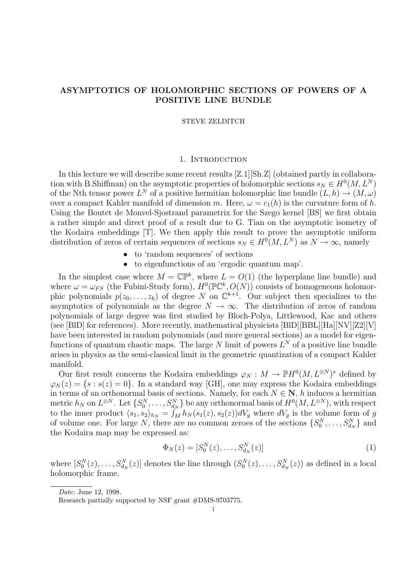## ASYMPTOTICS OF HOLOMORPHIC SECTIONS OF POWERS OF A POSITIVE LINE BUNDLE

STEVE ZELDITCH

#### 1. INTRODUCTION

In this lecture we will describe some recent results [Z.1][Sh.Z] (obtained partly in collaboration with B.Shiffman) on the asymptotic properties of holomorphic sections  $s_N \in H^0(M, L^N)$ of the Nth tensor power  $L^N$  of a positive hermitian holomorphic line bundle  $(L, h) \to (M, \omega)$ over a compact Kahler manifold of dimension m. Here,  $\omega = c_1(h)$  is the curvature form of h. Using the Boutet de Monvel-Sjostrand parametrix for the Szego kernel [BS] we first obtain a rather simple and direct proof of a result due to G. Tian on the asymptotic isometry of the Kodaira embeddings [T]. We then apply this result to prove the asymptotic uniform distribution of zeros of certain sequences of sections  $s_N \in H^0(M, L^N)$  as  $N \to \infty$ , namely

- to 'random sequences' of sections
- to eigenfunctions of an 'ergodic quantum map'.

In the simplest case where  $M = \mathbb{CP}^k$ , where  $L = O(1)$  (the hyperplane line bundle) and where  $\omega = \omega_{FS}$  (the Fubini-Study form),  $H^0(\mathbb{PC}^k, O(N))$  consists of homogeneous holomorphic polynomials  $p(z_0, \ldots, z_k)$  of degree N on  $\mathbb{C}^{k+1}$ . Our subject then specializes to the asymptotics of polynomials as the degree  $N \to \infty$ . The distribution of zeros of random polynomials of large degree was first studied by Bloch-Polya, Littlewood, Kac and others (see [BlD] for references). More recently, mathematical physicists [BlD][BBL][Ha][NV][Z2][V] have been interested in random polynomials (and more general sections) as a model for eigenfunctions of quantum chaotic maps. The large N limit of powers  $L^N$  of a positive line bundle arises in physics as the semi-classical limit in the geometric quantization of a compact Kahler manifold.

Our first result concerns the Kodaira embeddings  $\varphi_N : M \to \mathbb{P}H^0(M, L^{\otimes N})^*$  defined by  $\varphi_N(z) = \{s : s(z) = 0\}.$  In a standard way [GH], one may express the Kodaira embeddings in terms of an orthonormal basis of sections. Namely, for each  $N \in \mathbb{N}$ , h induces a hermitian metric  $h_N$  on  $L^{\otimes N}$ . Let  $\{S_0^N, \ldots, S_{d_N}^N\}$  be any orthonormal basis of  $H^0(M, L^{\otimes N})$ , with respect to the inner product  $\langle s_1, s_2 \rangle_{h_N} = \int_M h_N(s_1(z), s_2(z)) dV_g$  where  $dV_g$  is the volume form of g of volume one. For large N, there are no common zeroes of the sections  $\{S_0^N, \ldots, S_{d_N}^N\}$  and the Kodaira map may be expressed as:

$$
\Phi_N(z) = [S_0^N(z), \dots, S_{d_N}^N(z)] \tag{1}
$$

where  $[S_0^N(z), \ldots, S_{d_N}^N(z)]$  denotes the line through  $(S_0^N(z), \ldots, S_{d_N}^N(z))$  as defined in a local holomorphic frame.

Date: June 12, 1998.

Research partially supported by NSF grant #DMS-9703775.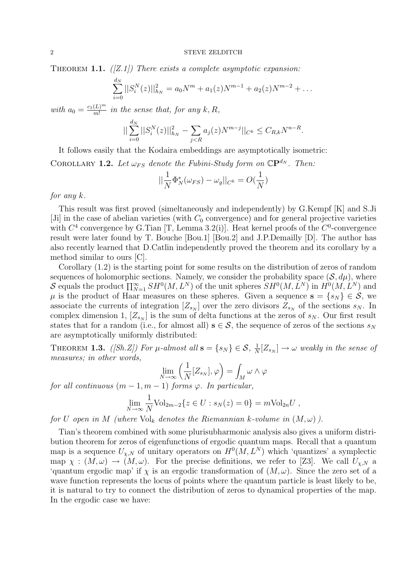THEOREM 1.1.  $([Z.1])$  There exists a complete asymptotic expansion:

$$
\sum_{i=0}^{d_N}||S_i^N(z)||_{h_N}^2 = a_0N^m + a_1(z)N^{m-1} + a_2(z)N^{m-2} + \dots
$$

with  $a_0 = \frac{c_1(L)^m}{m!}$  $\frac{(L)^m}{m!}$  in the sense that, for any  $k, R$ ,

$$
||\sum_{i=0}^{d_N}||S_i^N(z)||_{h_N}^2 - \sum_{j < R} a_j(z)N^{m-j}||_{C^k} \leq C_{R,k}N^{n-R}.
$$

It follows easily that the Kodaira embeddings are asymptotically isometric:

COROLLARY 1.2. Let  $\omega_{FS}$  denote the Fubini-Study form on  $\mathbb{C}P^{d_N}$ . Then:

$$
||\frac{1}{N}\Phi_N^*(\omega_{FS}) - \omega_g||_{C^k} = O(\frac{1}{N})
$$

#### for any k.

This result was first proved (simeltaneously and independently) by G.Kempf [K] and S.Ji [Ji] in the case of abelian varieties (with  $C_0$  convergence) and for general projective varieties with  $C^4$  convergence by G.Tian [T, Lemma 3.2(i)]. Heat kernel proofs of the  $C^0$ -convergence result were later found by T. Bouche [Bou.1] [Bou.2] and J.P.Demailly [D]. The author has also recently learned that D.Catlin independently proved the theorem and its corollary by a method similar to ours [C].

Corollary (1.2) is the starting point for some results on the distribution of zeros of random sequences of holomorphic sections. Namely, we consider the probability space  $(S, d\mu)$ , where Sequences of holomorphic sections. Namely, we consider the probability space  $(S, u\mu)$ , where  $S$  equals the product  $\prod_{N=1}^{\infty} SH^0(M, L^N)$  of the unit spheres  $SH^0(M, L^N)$  in  $H^0(M, L^N)$  and  $\mu$  is the product of Haar measures on these spheres. Given a sequence  $\mathbf{s} = \{s_N\} \in \mathcal{S}$ , we associate the currents of integration  $[Z_{s_N}]$  over the zero divisors  $Z_{s_N}$  of the sections  $s_N$ . In complex dimension 1,  $[Z_{s_N}]$  is the sum of delta functions at the zeros of  $s_N$ . Our first result states that for a random (i.e., for almost all)  $s \in S$ , the sequence of zeros of the sections  $s_N$ are asymptotically uniformly distributed:

THEOREM 1.3. ([Sh.Z]) For  $\mu$ -almost all  $\mathbf{s} = \{s_N\} \in \mathcal{S}, \frac{1}{N}$  $\frac{1}{N}[Z_{s_N}] \rightarrow \omega$  weakly in the sense of measures; in other words,

$$
\lim_{N\to\infty}\left(\frac{1}{N}[Z_{s_N}],\varphi\right)=\int_M\omega\wedge\varphi
$$

for all continuous  $(m-1, m-1)$  forms  $\varphi$ . In particular,

$$
\lim_{N \to \infty} \frac{1}{N} \text{Vol}_{2m-2} \{ z \in U : s_N(z) = 0 \} = m \text{Vol}_{2n} U ,
$$

for U open in M (where  $\text{Vol}_k$  denotes the Riemannian k-volume in  $(M, \omega)$ ).

Tian's theorem combined with some plurisubharmonic analysis also gives a uniform distribution theorem for zeros of eigenfunctions of ergodic quantum maps. Recall that a quantum map is a sequence  $U_{\chi,N}$  of unitary operators on  $H^0(M, L^N)$  which 'quantizes' a symplectic map  $\chi : (M, \omega) \to (M, \omega)$ . For the precise definitions, we refer to [Z3]. We call  $U_{\chi,N}$  a 'quantum ergodic map' if  $\chi$  is an ergodic transformation of  $(M, \omega)$ . Since the zero set of a wave function represents the locus of points where the quantum particle is least likely to be, it is natural to try to connect the distribution of zeros to dynamical properties of the map. In the ergodic case we have: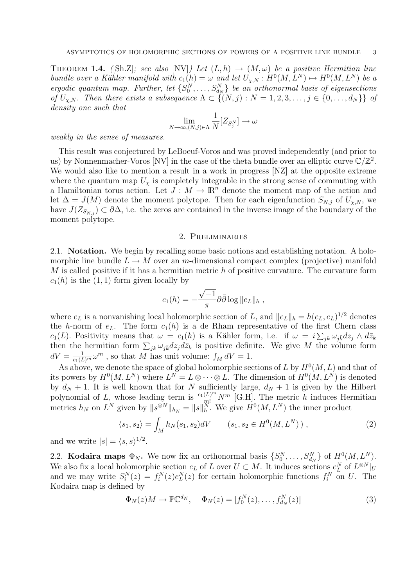THEOREM 1.4. ([Sh.Z]; see also [NV]) Let  $(L, h) \rightarrow (M, \omega)$  be a positive Hermitian line bundle over a Kähler manifold with  $c_1(h) = \omega$  and let  $U_{\chi,N} : H^0(M, L^N) \mapsto H^0(M, L^N)$  be a ergodic quantum map. Further, let  $\{S_0^N, \ldots, S_{d_N}^N\}$  be an orthonormal basis of eigensections of  $U_{\chi,N}$ . Then there exists a subsequence  $\Lambda \subset \{(N, j): N = 1, 2, 3, \ldots, j \in \{0, \ldots, d_N\}\}\;$  of density one such that

$$
\lim_{N\to\infty,(N,j)\in\Lambda}\frac{1}{N}[Z_{S_j^N}]\to\omega
$$

weakly in the sense of measures.

This result was conjectured by LeBoeuf-Voros and was proved independently (and prior to us) by Nonnenmacher-Voros [NV] in the case of the theta bundle over an elliptic curve  $\mathbb{C}/\mathbb{Z}^2$ . We would also like to mention a result in a work in progress [NZ] at the opposite extreme where the quantum map  $U_{\gamma}$  is completely integrable in the strong sense of commuting with a Hamiltonian torus action. Let  $J: M \to \mathbb{R}^n$  denote the moment map of the action and let  $\Delta = J(M)$  denote the moment polytope. Then for each eigenfunction  $S_{N,j}$  of  $U_{\chi,N}$ , we have  $J(Z_{S_{N,i}}) \subset \partial \Delta$ , i.e. the zeros are contained in the inverse image of the boundary of the moment polytope.

#### 2. Preliminaries

2.1. Notation. We begin by recalling some basic notions and establishing notation. A holomorphic line bundle  $L \to M$  over an m-dimensional compact complex (projective) manifold  $M$  is called positive if it has a hermitian metric  $h$  of positive curvature. The curvature form  $c_1(h)$  is the  $(1, 1)$  form given locally by

$$
c_1(h) = -\frac{\sqrt{-1}}{\pi} \partial \bar{\partial} \log ||e_L||_h,
$$

where  $e_L$  is a nonvanishing local holomorphic section of L, and  $||e_L||_h = h(e_L, e_L)^{1/2}$  denotes the h-norm of  $e_L$ . The form  $c_1(h)$  is a de Rham representative of the first Chern class  $c_1(L)$ . Positivity means that  $\omega = c_1(h)$  is a Kähler form, i.e. if  $\omega = i \sum_{jk} \omega_{jk} dz_j \wedge d\bar{z}_k$ then the hermitian form  $\sum_{jk} \omega_{jk} dz_j d\bar{z}_k$  is positive definite. We give M the volume form  $dV = \frac{1}{c_1(L)^m} \omega^m$ , so that M has unit volume:  $\int_M dV = 1$ .

As above, we denote the space of global holomorphic sections of L by  $H^0(M, L)$  and that of its powers by  $H^0(M, L^N)$  where  $L^N = L \otimes \cdots \otimes L$ . The dimension of  $H^0(M, L^N)$  is denoted by  $d_N + 1$ . It is well known that for N sufficiently large,  $d_N + 1$  is given by the Hilbert polynomial of L, whose leading term is  $\frac{c_1(L)^m}{m!}N^m$  [G.H]. The metric h induces Hermitian metrics  $h_N$  on  $L^N$  given by  $||s^{\otimes N}||_{h_N} = ||s||_h^N$ . We give  $H^0(M, L^N)$  the inner product

$$
\langle s_1, s_2 \rangle = \int_M h_N(s_1, s_2) dV \qquad (s_1, s_2 \in H^0(M, L^N)) \,, \tag{2}
$$

and we write  $|s| = \langle s, s \rangle^{1/2}$ .

2.2. **Kodaira maps**  $\Phi_N$ . We now fix an orthonormal basis  $\{S_0^N, \ldots, S_{d_N}^N\}$  of  $H^0(M, L^N)$ . We also fix a local holomorphic section  $e_L$  of L over  $U \subset M$ . It induces sections  $e_L^N$  of  $L^{\otimes N}|_U$ and we may write  $S_i^N(z) = f_i^N(z)e_L^N(z)$  for certain holomorphic functions  $f_i^N$  on U. The Kodaira map is defined by

$$
\Phi_N(z)M \to \mathbb{P}\mathbb{C}^{d_N}, \quad \Phi_N(z) = [f_0^N(z), \dots, f_{d_N}^N(z)] \tag{3}
$$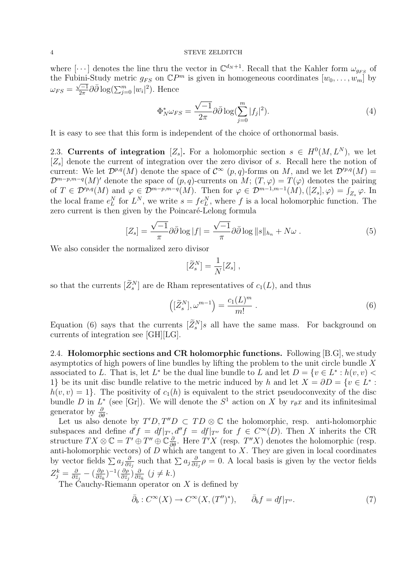where  $[\cdots]$  denotes the line thru the vector in  $\mathbb{C}^{d_N+1}$ . Recall that the Kahler form  $\omega_{g_{FS}}$  of the Fubini-Study metric  $g_{FS}$  on  $\mathbb{C}P^m$  is given in homogeneous coordinates  $[w_0, \ldots, w_m]$  by  $\omega_{FS}=\frac{\sqrt{-1}}{2\pi}$  $\frac{\sqrt{-1}}{2\pi}\partial\bar{\partial}\log(\sum_{j=0}^{m}|w_i|^2)$ . Hence

$$
\Phi_N^* \omega_{FS} = \frac{\sqrt{-1}}{2\pi} \partial \bar{\partial} \log \left( \sum_{j=0}^m |f_j|^2 \right). \tag{4}
$$

It is easy to see that this form is independent of the choice of orthonormal basis.

2.3. Currents of integration [Z<sub>s</sub>]. For a holomorphic section  $s \in H^0(M, L^N)$ , we let  $[Z_s]$  denote the current of integration over the zero divisor of s. Recall here the notion of current: We let  $\mathcal{D}^{p,q}(M)$  denote the space of  $\mathcal{C}^{\infty}(p,q)$ -forms on M, and we let  $\mathcal{D}^{p,q}(M)$  =  $\mathcal{D}^{m-p,m-q}(M)$  denote the space of  $(p,q)$ -currents on  $M; (T,\varphi) = T(\varphi)$  denotes the pairing of  $T \in \mathcal{D}^{\prime p,q}(M)$  and  $\varphi \in \mathcal{D}^{m-p,m-q}(M)$ . Then for  $\varphi \in \mathcal{D}^{m-1,m-1}(M), ([Z_s], \varphi) = \int_{Z_s} \varphi$ . In the local frame  $e_L^N$  for  $L^N$ , we write  $s = fe_L^N$ , where f is a local holomorphic function. The zero current is then given by the Poincaré-Lelong formula

$$
[Z_s] = \frac{\sqrt{-1}}{\pi} \partial \bar{\partial} \log |f| = \frac{\sqrt{-1}}{\pi} \partial \bar{\partial} \log ||s||_{h_n} + N\omega . \tag{5}
$$

We also consider the normalized zero divisor

$$
[\widetilde{Z}^N_s]=\frac{1}{N}[Z_s]\;,
$$

so that the currents  $[\tilde{Z}_{s}^{N}]$  are de Rham representatives of  $c_{1}(L)$ , and thus

$$
\left( [\widetilde{Z}_s^N], \omega^{m-1} \right) = \frac{c_1(L)^m}{m!} \,. \tag{6}
$$

Equation (6) says that the currents  $[\tilde{Z}_s^N]s$  all have the same mass. For background on currents of integration see [GH][LG].

2.4. Holomorphic sections and CR holomorphic functions. Following [B.G], we study asymptotics of high powers of line bundles by lifting the problem to the unit circle bundle X associated to L. That is, let  $L^*$  be the dual line bundle to L and let  $D = \{v \in L^* : h(v, v)$ 1} be its unit disc bundle relative to the metric induced by h and let  $X = \partial D = \{v \in L^* :$  $h(v, v) = 1$ . The positivity of  $c_1(h)$  is equivalent to the strict pseudoconvexity of the disc bundle D in  $L^*$  (see [Gr]). We will denote the  $S^1$  action on X by  $r_{\theta}x$  and its infinitesimal generator by  $\frac{\partial}{\partial \theta}$ .

Let us also denote by  $T'D$ ,  $T''D \subset TD \otimes \mathbb{C}$  the holomorphic, resp. anti-holomorphic subspaces and define  $d'f = df|_{T}$ ,  $d''f = df|_{T''}$  for  $f \in C^{\infty}(D)$ . Then X inherits the CR structure  $TX \otimes \mathbb{C} = T' \oplus T'' \oplus \mathbb{C} \frac{\partial}{\partial \theta}$ . Here  $T'X$  (resp.  $T''X$ ) denotes the holomorphic (resp. anti-holomorphic vectors) of  $D$  which are tangent to  $X$ . They are given in local coordinates by vector fields  $\sum a_j \frac{\partial}{\partial \overline{z}}$  $rac{\partial}{\partial \bar{z}_j}$  such that  $\sum a_j \frac{\partial}{\partial \bar{z}_j}$  $\frac{\partial}{\partial \bar{z}_j}$  $\rho = 0$ . A local basis is given by the vector fields  $Z_j^k=\frac{\delta}{\partial \bar z}$  $\frac{\partial}{\partial \bar{z}_j}- (\frac{\partial \rho}{\partial \bar{z}_k}$  $\frac{\partial \rho}{\partial \bar{z}_k}$ ) $^{-1}(\frac{\partial \rho}{\partial \bar{z}_j}$  $\frac{\partial \rho}{\partial \bar{z}_j} ) \frac{\partial}{\partial \bar{z}}$  $\frac{\partial}{\partial \bar{z}_k}$   $(j \neq k.)$ 

The Cauchy-Riemann operator on  $X$  is defined by

$$
\bar{\partial}_b : C^\infty(X) \to C^\infty(X, (T'')^*), \qquad \bar{\partial}_b f = df|_{T''}.
$$
\n
$$
(7)
$$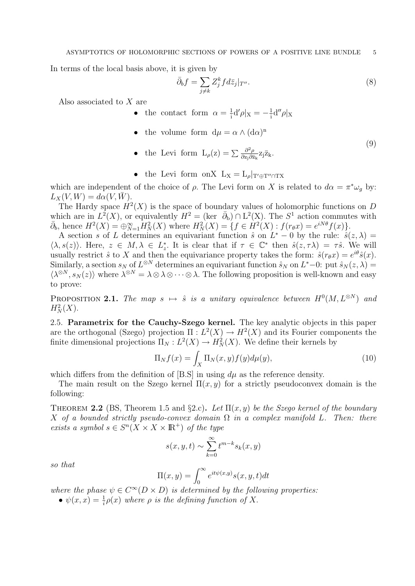In terms of the local basis above, it is given by

$$
\bar{\partial}_b f = \sum_{j \neq k} Z_j^k f d\bar{z}_j |_{T''}.
$$
\n(8)

Also associated to X are

• the contact form  $\alpha = \frac{1}{i}$  $\frac{1}{i}d' \rho | X = -\frac{1}{i}$  $\frac{1}{i}d''\rho|X$ 

- the volume form  $d\mu = \alpha \wedge (d\alpha)^n$
- the Levi form  $L_{\rho}(z) = \sum \frac{\partial^2 \rho}{\partial z_i \partial \bar{z}}$  $\frac{\partial^2 \rho}{\partial z_j \partial \bar{z}_k} z_j \bar{z}_k.$ (9)
- the Levi form onX  $L_X = L_\rho|_{T'\oplus T''\cap TX}$

which are independent of the choice of  $\rho$ . The Levi form on X is related to  $d\alpha = \pi^* \omega_g$  by:  $L_X(V, W) = d\alpha(V, \overline{W}).$ 

The Hardy space  $H^2(X)$  is the space of boundary values of holomorphic functions on D which are in  $L^2(X)$ , or equivalently  $H^2 = (\text{ker } \bar{\partial}_b) \cap L^2(X)$ . The  $S^1$  action commutes with  $\bar{\partial}_b$ , hence  $H^2(X) = \bigoplus_{N=1}^{\infty} H^2_N(X)$  where  $H^2_N(X) = \{ f \in \dot{H}^2(X) : f(r_\theta x) = e^{iN\theta} f(x) \}.$ 

A section s of L determines an equivariant function  $\hat{s}$  on  $L^* - 0$  by the rule:  $\hat{s}(z, \lambda) =$  $\langle \lambda, s(z) \rangle$ . Here,  $z \in M$ ,  $\lambda \in L_z^*$ . It is clear that if  $\tau \in \mathbb{C}^*$  then  $\hat{s}(z, \tau \lambda) = \tau \hat{s}$ . We will usually restrict  $\hat{s}$  to X and then the equivariance property takes the form:  $\hat{s}(r_{\theta}x) = e^{i\theta}\hat{s}(x)$ . Similarly, a section  $s_N$  of  $L^{\otimes N}$  determines an equivariant function  $\hat{s}_N$  on  $L^*-0$ : put  $\hat{s}_N(z,\lambda)$  $\langle \lambda^{\otimes N}, s_N(z) \rangle$  where  $\lambda^{\otimes N} = \lambda \otimes \lambda \otimes \cdots \otimes \lambda$ . The following proposition is well-known and easy to prove:

PROPOSITION 2.1. The map  $s \mapsto \hat{s}$  is a unitary equivalence between  $H^0(M, L^{\otimes N})$  and  $H_N^2(X)$ .

2.5. Parametrix for the Cauchy-Szego kernel. The key analytic objects in this paper are the orthogonal (Szego) projection  $\Pi: L^2(X) \to H^2(X)$  and its Fourier components the finite dimensional projections  $\Pi_N: L^2(X) \to H^2_N(X)$ . We define their kernels by

$$
\Pi_N f(x) = \int_X \Pi_N(x, y) f(y) d\mu(y), \qquad (10)
$$

which differs from the definition of  $[B.S]$  in using  $d\mu$  as the reference density.

The main result on the Szego kernel  $\Pi(x, y)$  for a strictly pseudoconvex domain is the following:

THEOREM 2.2 (BS, Theorem 1.5 and §2.c). Let  $\Pi(x, y)$  be the Szego kernel of the boundary X of a bounded strictly pseudo-convex domain  $\Omega$  in a complex manifold L. Then: there exists a symbol  $s \in S^n(X \times X \times \mathbb{R}^+)$  of the type

$$
s(x, y, t) \sim \sum_{k=0}^{\infty} t^{m-k} s_k(x, y)
$$

so that

$$
\Pi(x, y) = \int_0^\infty e^{it\psi(x, y)} s(x, y, t) dt
$$

where the phase  $\psi \in C^{\infty}(D \times D)$  is determined by the following properties:

•  $\psi(x,x) = \frac{1}{i}\rho(x)$  where  $\rho$  is the defining function of X.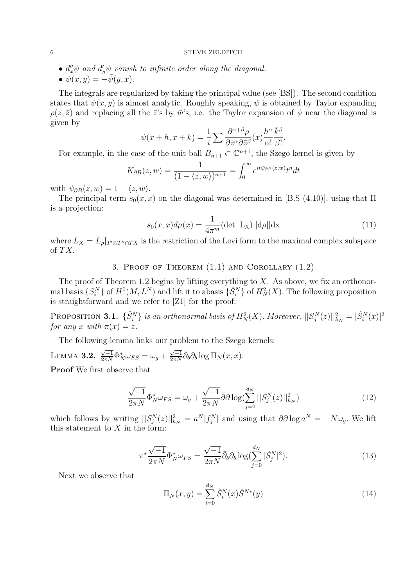- $d''_x \psi$  and  $d'_y \psi$  vanish to infinite order along the diagonal.
- $\psi(x, y) = -\psi(y, x)$ .

The integrals are regularized by taking the principal value (see [BS]). The second condition states that  $\psi(x, y)$  is almost analytic. Roughly speaking,  $\psi$  is obtained by Taylor expanding  $\rho(z,\bar{z})$  and replacing all the  $\bar{z}$ 's by  $\bar{w}$ 's, i.e. the Taylor expansion of  $\psi$  near the diagonal is given by

$$
\psi(x+h, x+k) = \frac{1}{i} \sum \frac{\partial^{\alpha+\beta} \rho}{\partial z^{\alpha} \partial \bar{z}^{\beta}}(x) \frac{h^{\alpha}}{\alpha!} \frac{\bar{k}^{\beta}}{\beta!}.
$$

For example, in the case of the unit ball  $B_{n+1} \subset \mathbb{C}^{n+1}$ , the Szego kernel is given by

$$
K_{\partial B}(z, w) = \frac{1}{(1 - \langle z, w \rangle)^{n+1}} = \int_0^\infty e^{it\psi_{\partial B}(z, w)} t^n dt
$$

with  $\psi_{\partial B}(z, w) = 1 - \langle z, w \rangle$ .

The principal term  $s_0(x, x)$  on the diagonal was determined in [B.S (4.10)], using that  $\Pi$ is a projection:

$$
s_0(x,x)d\mu(x) = \frac{1}{4\pi^m}(\det \mathcal{L}_X)||d\rho||dx \qquad (11)
$$

where  $L_X = L_\rho|_{T^\prime \oplus T^{\prime\prime} \cap TX}$  is the restriction of the Levi form to the maximal complex subspace of TX.

3. Proof of Theorem (1.1) and Corollary (1.2)

The proof of Theorem 1.2 begins by lifting everything to  $X$ . As above, we fix an orthonormal basis  $\{S_i^N\}$  of  $H^0(M, L^N)$  and lift it to abasis  $\{\hat{S}_i^N\}$  of  $H^2_N(X)$ . The following proposition is straightforward and we refer to [Z1] for the proof:

PROPOSITION 3.1.  $\{\hat{S}_i^N\}$  is an orthonormal basis of  $H_N^2(X)$ . Moreover,  $||S_j^N(z)||_{h_N}^2 = |\hat{S}_i^N(x)|^2$ for any x with  $\pi(x) = z$ .

The following lemma links our problem to the Szego kernels:

LEMMA 3.2.  $\frac{\sqrt{-1}}{2\pi N} \Phi_N^* \omega_{FS} = \omega_g + \frac{\sqrt{-1}}{2\pi N}$  $\frac{\sqrt{-1}}{2\pi N} \bar{\partial}_b \partial_b \log \Pi_N(x, x).$ 

Proof We first observe that

$$
\frac{\sqrt{-1}}{2\pi N} \Phi_N^* \omega_{FS} = \omega_g + \frac{\sqrt{-1}}{2\pi N} \bar{\partial} \partial \log(\sum_{j=0}^{d_N} ||S_j^N(z)||_{h_N}^2)
$$
(12)

which follows by writing  $||S_j^N(z)||_{h_N}^2 = a^N |f_j^N|$  and using that  $\bar{\partial}\partial \log a^N = -N\omega_g$ . We lift this statement to  $X$  in the form:

$$
\pi^* \frac{\sqrt{-1}}{2\pi N} \Phi_N^* \omega_{FS} = \frac{\sqrt{-1}}{2\pi N} \bar{\partial}_b \partial_b \log \left( \sum_{j=0}^{d_N} |\hat{S}_j^N|^2 \right).
$$
 (13)

Next we observe that

$$
\Pi_N(x, y) = \sum_{i=0}^{d_N} \hat{S}_i^N(x) \hat{S}^{N*}(y)
$$
\n(14)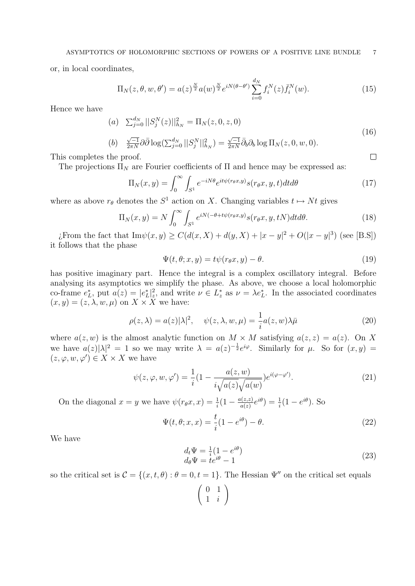or, in local coordinates,

$$
\Pi_N(z,\theta,w,\theta') = a(z)^{\frac{N}{2}} a(w)^{\frac{N}{2}} e^{iN(\theta-\theta')} \sum_{i=0}^{d_N} f_i^N(z) \bar{f}_i^N(w).
$$
 (15)

Hence we have

(a) 
$$
\sum_{j=0}^{d_N} ||S_j^N(z)||_{h_N}^2 = \Pi_N(z, 0, z, 0)
$$
 (16)

(b) 
$$
\frac{\sqrt{-1}}{2\pi N} \partial \overline{\partial} \log(\sum_{j=0}^{d_N} ||S_j^N||_{h_N}^2) = \frac{\sqrt{-1}}{2\pi N} \overline{\partial}_b \partial_b \log \Pi_N(z,0,w,0).
$$

This completes the proof.

The projections  $\Pi_N$  are Fourier coefficients of  $\Pi$  and hence may be expressed as:

$$
\Pi_N(x,y) = \int_0^\infty \int_{S^1} e^{-iN\theta} e^{it\psi(r_\theta x,y)} s(r_\theta x, y, t) dt d\theta \tag{17}
$$

where as above  $r_{\theta}$  denotes the  $S^1$  action on X. Changing variables  $t \mapsto Nt$  gives

$$
\Pi_N(x,y) = N \int_0^\infty \int_{S^1} e^{iN(-\theta + t\psi(r_\theta x,y)} s(r_\theta x, y, tN) dt d\theta.
$$
 (18)

*i*. From the fact that  $\text{Im}\psi(x, y) \geq C(d(x, X) + d(y, X) + |x - y|^2 + O(|x - y|^3)$  (see [B.S]) it follows that the phase

$$
\Psi(t,\theta;x,y) = t\psi(r_\theta x,y) - \theta.
$$
\n(19)

has positive imaginary part. Hence the integral is a complex oscillatory integral. Before analysing its asymptotics we simplify the phase. As above, we choose a local holomorphic co-frame  $e_L^*$ , put  $a(z) = |e_L^*|_z^2$ , and write  $\nu \in L_z^*$  as  $\nu = \lambda e_L^*$ . In the associated coordinates  $(x, y) = (z, \lambda, w, \mu)$  on  $X \times X$  we have:

$$
\rho(z,\lambda) = a(z)|\lambda|^2, \quad \psi(z,\lambda,w,\mu) = \frac{1}{i}a(z,w)\lambda\bar{\mu}
$$
 (20)

where  $a(z, w)$  is the almost analytic function on  $M \times M$  satisfying  $a(z, z) = a(z)$ . On X we have  $a(z)|\lambda|^2 = 1$  so we may write  $\lambda = a(z)^{-\frac{1}{2}}e^{i\varphi}$ . Similarly for  $\mu$ . So for  $(x, y) =$  $(z, \varphi, w, \varphi') \in X \times X$  we have

$$
\psi(z,\varphi,w,\varphi') = \frac{1}{i}(1 - \frac{a(z,w)}{i\sqrt{a(z)}\sqrt{a(w)}})e^{i(\varphi-\varphi')}.
$$
\n(21)

On the diagonal  $x = y$  we have  $\psi(r_\theta x, x) = \frac{1}{i} (1 - \frac{a(z, z)}{a(z)})$  $\frac{a(z,z)}{a(z)}e^{i\theta}$  =  $\frac{1}{i}(1-e^{i\theta})$ . So

$$
\Psi(t,\theta;x,x) = \frac{t}{i}(1 - e^{i\theta}) - \theta.
$$
\n(22)

We have

$$
\begin{array}{l}\nd_t \Psi = \frac{1}{i} (1 - e^{i\theta}) \\
d_\theta \Psi = t e^{i\theta} - 1\n\end{array} \tag{23}
$$

so the critical set is  $\mathcal{C} = \{(x, t, \theta) : \theta = 0, t = 1\}$ . The Hessian  $\Psi''$  on the critical set equals

$$
\left(\begin{array}{cc} 0 & 1 \\ 1 & i \end{array}\right)
$$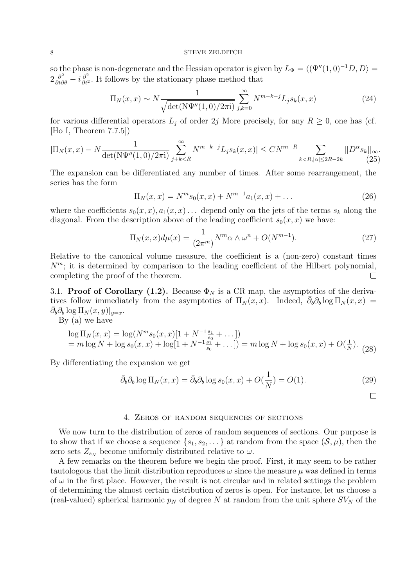so the phase is non-degenerate and the Hessian operator is given by  $L_{\Psi} = \langle (\Psi''(1, 0)^{-1}D, D \rangle =$  $2\frac{\partial^2}{\partial t \partial \theta} - i\frac{\partial^2}{\partial t^2}$  $\frac{\partial^2}{\partial t^2}$ . It follows by the stationary phase method that

$$
\Pi_N(x,x) \sim N \frac{1}{\sqrt{\det(N\Psi''(1,0)/2\pi i)}} \sum_{j,k=0}^{\infty} N^{m-k-j} L_j s_k(x,x)
$$
\n(24)

for various differential operators  $L_j$  of order 2j More precisely, for any  $R \geq 0$ , one has (cf. [Ho I, Theorem 7.7.5])

$$
|\Pi_N(x,x) - N \frac{1}{\det(N\Psi''(1,0)/2\pi i)} \sum_{j+k < R}^{\infty} N^{m-k-j} L_j s_k(x,x)| \le CN^{m-R} \sum_{k < R, |\alpha| \le 2R - 2k} ||D^{\alpha} s_k||_{\infty}.
$$
 (25)

The expansion can be differentiated any number of times. After some rearrangement, the series has the form

$$
\Pi_N(x, x) = N^m s_0(x, x) + N^{m-1} a_1(x, x) + \dots
$$
\n(26)

where the coefficients  $s_0(x, x)$ ,  $a_1(x, x)$ ... depend only on the jets of the terms  $s_k$  along the diagonal. From the description above of the leading coefficient  $s_0(x, x)$  we have:

$$
\Pi_N(x,x)d\mu(x) = \frac{1}{(2\pi^m)}N^m\alpha \wedge \omega^n + O(N^{m-1}).\tag{27}
$$

Relative to the canonical volume measure, the coefficient is a (non-zero) constant times  $N<sup>m</sup>$ ; it is determined by comparison to the leading coefficient of the Hilbert polynomial, completing the proof of the theorem.  $\Box$ 

3.1. Proof of Corollary (1.2). Because  $\Phi_N$  is a CR map, the asymptotics of the derivatives follow immediately from the asymptotics of  $\Pi_N(x, x)$ . Indeed,  $\bar{\partial}_b \partial_b \log \Pi_N(x, x) =$  $\bar{\partial}_b\partial_b\log\Pi_N(x,y)|_{y=x}.$ 

By (a) we have

$$
\log \Pi_N(x, x) = \log(N^m s_0(x, x)[1 + N^{-1} \frac{s_1}{s_0} + \dots])
$$
  
=  $m \log N + \log s_0(x, x) + \log[1 + N^{-1} \frac{s_1}{s_0} + \dots]) = m \log N + \log s_0(x, x) + O(\frac{1}{N}).$  (28)

By differentiating the expansion we get

$$
\bar{\partial}_b \partial_b \log \Pi_N(x, x) = \bar{\partial}_b \partial_b \log s_0(x, x) + O(\frac{1}{N}) = O(1). \tag{29}
$$

#### 4. Zeros of random sequences of sections

We now turn to the distribution of zeros of random sequences of sections. Our purpose is to show that if we choose a sequence  $\{s_1, s_2, \ldots\}$  at random from the space  $(S, \mu)$ , then the zero sets  $Z_{s_N}$  become uniformly distributed relative to  $\omega$ .

A few remarks on the theorem before we begin the proof. First, it may seem to be rather tautologous that the limit distribution reproduces  $\omega$  since the measure  $\mu$  was defined in terms of  $\omega$  in the first place. However, the result is not circular and in related settings the problem of determining the almost certain distribution of zeros is open. For instance, let us choose a (real-valued) spherical harmonic  $p<sub>N</sub>$  of degree N at random from the unit sphere  $SV<sub>N</sub>$  of the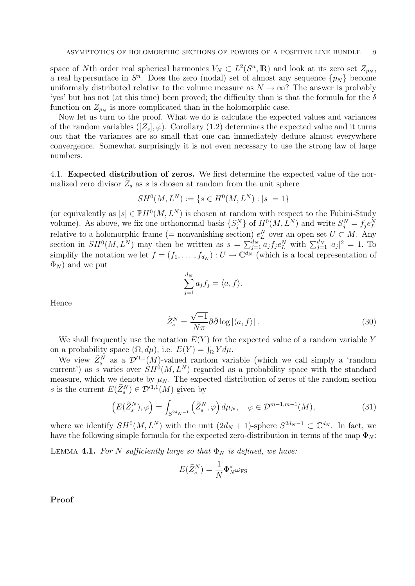space of Nth order real spherical harmonics  $V_N \subset L^2(S^n, \mathbb{R})$  and look at its zero set  $Z_{p_N}$ , a real hypersurface in  $S<sup>n</sup>$ . Does the zero (nodal) set of almost any sequence  $\{p_N\}$  become uniformaly distributed relative to the volume measure as  $N \to \infty$ ? The answer is probably 'yes' but has not (at this time) been proved; the difficulty than is that the formula for the  $\delta$ function on  $Z_{p_N}$  is more complicated than in the holomorphic case.

Now let us turn to the proof. What we do is calculate the expected values and variances of the random variables  $([Z_s], \varphi)$ . Corollary (1.2) determines the expected value and it turns out that the variances are so small that one can immediately deduce almost everywhere convergence. Somewhat surprisingly it is not even necessary to use the strong law of large numbers.

4.1. Expected distribution of zeros. We first determine the expected value of the normalized zero divisor  $\widetilde{Z}_s$  as s is chosen at random from the unit sphere

$$
SH^0(M, L^N) := \{ s \in H^0(M, L^N) : |s| = 1 \}
$$

(or equivalently as  $[s] \in \mathbb{P}H^0(M, L^N)$  is chosen at random with respect to the Fubini-Study volume). As above, we fix one orthonormal basis  $\{S_j^N\}$  of  $H^0(M, L^N)$  and write  $S_j^N = f_j e_L^N$ relative to a holomorphic frame (= nonvanishing section)  $e_L^N$  over an open set  $U \subset M$ . Any section in  $SH^0(M, L^N)$  may then be written as  $s = \sum_{j=1}^{d_N} a_j f_j e_L^N$  with  $\sum_{j=1}^{d_N} |a_j|^2 = 1$ . To simplify the notation we let  $f = (f_1, \ldots, f_{d_N}) : U \to \mathbb{C}^{d_N}$  (which is a local representation of  $\Phi_N$ ) and we put

$$
\sum_{j=1}^{d_N} a_j f_j = \langle a, f \rangle.
$$

Hence

$$
\widetilde{Z}_s^N = \frac{\sqrt{-1}}{N\pi} \partial \bar{\partial} \log |\langle a, f \rangle| \,. \tag{30}
$$

We shall frequently use the notation  $E(Y)$  for the expected value of a random variable Y on a probability space  $(\Omega, d\mu)$ , i.e.  $E(Y) = \int_{\Omega} Y d\mu$ .

We view  $\widetilde{Z}_{s}^{N}$  as a  $\mathcal{D}'^{1,1}(M)$ -valued random variable (which we call simply a 'random current') as s varies over  $SH^{0}(M, L^{N})$  regarded as a probability space with the standard measure, which we denote by  $\mu_N$ . The expected distribution of zeros of the random section s is the current  $E(\widetilde{Z}_{s}^{N}) \in \mathcal{D}'^{1,1}(M)$  given by

$$
\left(E(\widetilde{Z}_{s}^{N}),\varphi\right) = \int_{S^{2d_{N}-1}}\left(\widetilde{Z}_{s}^{N},\varphi\right)d\mu_{N}, \quad \varphi \in \mathcal{D}^{m-1,m-1}(M),\tag{31}
$$

where we identify  $SH^0(M, L^N)$  with the unit  $(2d_N + 1)$ -sphere  $S^{2d_N-1} \subset \mathbb{C}^{d_N}$ . In fact, we have the following simple formula for the expected zero-distribution in terms of the map  $\Phi_N$ :

LEMMA 4.1. For N sufficiently large so that  $\Phi_N$  is defined, we have:

$$
E(\widetilde{Z}_{s}^{N}) = \frac{1}{N} \Phi_{N}^{*} \omega_{\text{FS}}
$$

Proof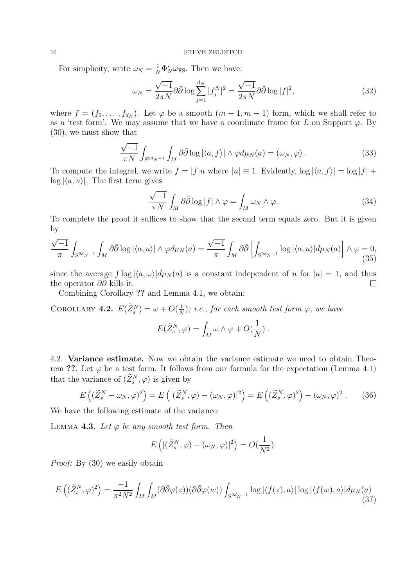For simplicity, write  $\omega_N = \frac{1}{N} \Phi_N^* \omega_{\text{FS}}$ . Then we have:

$$
\omega_N = \frac{\sqrt{-1}}{2\pi N} \partial \bar{\partial} \log \sum_{j=1}^{d_N} |f_j^N|^2 = \frac{\sqrt{-1}}{2\pi N} \partial \bar{\partial} \log |f|^2,\tag{32}
$$

where  $f = (f_0, \ldots, f_{d_N})$ . Let  $\varphi$  be a smooth  $(m-1, m-1)$  form, which we shall refer to as a 'test form'. We may assume that we have a coordinate frame for L on Support  $\varphi$ . By (30), we must show that

$$
\frac{\sqrt{-1}}{\pi N} \int_{S^{2d}N^{-1}} \int_M \partial \bar{\partial} \log |\langle a, f \rangle| \wedge \varphi d\mu_N(a) = (\omega_N, \varphi) . \tag{33}
$$

To compute the integral, we write  $f = |f|u$  where  $|u| \equiv 1$ . Evidently,  $\log |\langle a, f \rangle| = \log |f| +$  $log |\langle a, u \rangle|$ . The first term gives

$$
\frac{\sqrt{-1}}{\pi N} \int_M \partial \bar{\partial} \log |f| \wedge \varphi = \int_M \omega_N \wedge \varphi. \tag{34}
$$

To complete the proof it suffices to show that the second term equals zero. But it is given by

$$
\frac{\sqrt{-1}}{\pi} \int_{S^{2d_N-1}} \int_M \partial \bar{\partial} \log |\langle a, u \rangle| \wedge \varphi d\mu_N(a) = \frac{\sqrt{-1}}{\pi} \int_M \partial \bar{\partial} \left[ \int_{S^{2d_N-1}} \log |\langle a, u \rangle| d\mu_N(a) \right] \wedge \varphi = 0,
$$
\n(35)

since the average  $\int \log |\langle a, \omega \rangle| d\mu_N(a)$  is a constant independent of u for  $|u| = 1$ , and thus the operator  $\partial \bar{\partial} \tilde{\partial}$  kills it.  $\Box$ 

Combining Corollary ?? and Lemma 4.1, we obtain:

COROLLARY 4.2.  $E(\widetilde{Z}_{s}^{N}) = \omega + O(\frac{1}{N})$  $\frac{1}{N}$ ); i.e., for each smooth test form  $\varphi$ , we have

$$
E(\widetilde{Z}_s^N,\varphi)=\int_M \omega\wedge\varphi+O(\frac{1}{N})\ .
$$

4.2. Variance estimate. Now we obtain the variance estimate we need to obtain Theorem ??. Let  $\varphi$  be a test form. It follows from our formula for the expectation (Lemma 4.1) that the variance of  $(\widetilde{Z}_s^N, \varphi)$  is given by

$$
E\left((\widetilde{Z}_{s}^{N}-\omega_{N},\varphi)^{2}\right)=E\left((\widetilde{Z}_{s}^{N},\varphi)-(\omega_{N},\varphi)^{2}\right)=E\left((\widetilde{Z}_{s}^{N},\varphi)^{2}\right)-(\omega_{N},\varphi)^{2}.
$$
 (36)

We have the following estimate of the variance:

LEMMA 4.3. Let  $\varphi$  be any smooth test form. Then

$$
E\left(|(\widetilde{Z}_{s}^{N},\varphi)-(\omega_{N},\varphi)|^{2}\right)=O(\frac{1}{N^{2}}).
$$

Proof: By (30) we easily obtain

$$
E\left((\widetilde{Z}_{s}^{N},\varphi)^{2}\right) = \frac{-1}{\pi^{2}N^{2}} \int_{M} \int_{M} (\partial\overline{\partial}\varphi(z))(\partial\overline{\partial}\varphi(w)) \int_{S^{2d_{N}-1}} \log|\langle f(z),a\rangle| \log|\langle f(w),a\rangle| d\mu_{N}(a)
$$
\n(37)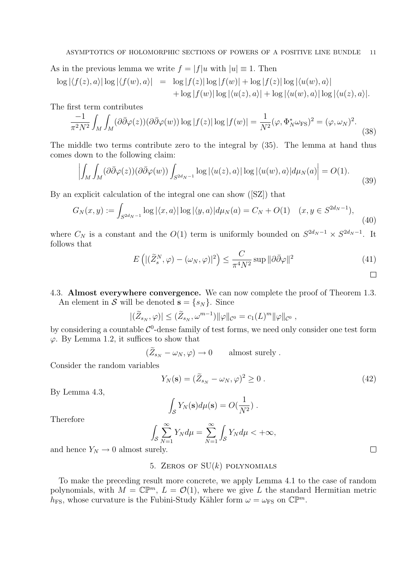As in the previous lemma we write  $f = |f|u$  with  $|u| \equiv 1$ . Then

$$
\log |\langle f(z),a\rangle| \log |\langle f(w),a\rangle| = \log |f(z)| \log |f(w)| + \log |f(z)| \log |\langle u(w),a\rangle|
$$
  
+ 
$$
\log |f(w)| \log |\langle u(z),a\rangle| + \log |\langle u(w),a\rangle| \log |\langle u(z),a\rangle|.
$$

The first term contributes

$$
\frac{-1}{\pi^2 N^2} \int_M \int_M (\partial \bar{\partial} \varphi(z)) (\partial \bar{\partial} \varphi(w)) \log |f(z)| \log |f(w)| = \frac{1}{N^2} (\varphi, \Phi_N^* \omega_{\text{FS}})^2 = (\varphi, \omega_N)^2. \tag{38}
$$

The middle two terms contribute zero to the integral by (35). The lemma at hand thus comes down to the following claim: ¯  $\overline{a}$ 

$$
\left| \int_{M} \int_{M} (\partial \bar{\partial} \varphi(z)) (\partial \bar{\partial} \varphi(w)) \int_{S^{2d_{N}-1}} \log |\langle u(z), a \rangle| \log |\langle u(w), a \rangle| d\mu_{N}(a) \right| = O(1). \tag{39}
$$

By an explicit calculation of the integral one can show ([SZ]) that

$$
G_N(x,y) := \int_{S^{2d_N - 1}} \log |\langle x, a \rangle| \log |\langle y, a \rangle| d\mu_N(a) = C_N + O(1) \quad (x, y \in S^{2d_N - 1}), \tag{40}
$$

where  $C_N$  is a constant and the  $O(1)$  term is uniformly bounded on  $S^{2d_N-1} \times S^{2d_N-1}$ . It follows that

$$
E\left(\left|\left(\widetilde{Z}_{s}^{N},\varphi\right)-\left(\omega_{N},\varphi\right)\right|^{2}\right) \leq \frac{C}{\pi^{4}N^{2}} \sup \|\partial\bar{\partial}\varphi\|^{2}
$$
\n(41)

## 4.3. Almost everywhere convergence. We can now complete the proof of Theorem 1.3.

An element in S will be denoted  $\mathbf{s} = \{s_N\}$ . Since

$$
|(\widetilde{Z}_{s_N},\varphi)| \leq (\widetilde{Z}_{s_N},\omega^{m-1}) ||\varphi||_{\mathcal{C}^0} = c_1(L)^m ||\varphi||_{\mathcal{C}^0},
$$

by considering a countable  $\mathcal{C}^0$ -dense family of test forms, we need only consider one test form  $\varphi$ . By Lemma 1.2, it suffices to show that

$$
(\widetilde{Z}_{s_N}-\omega_N,\varphi)\to 0 \qquad \text{almost surely}.
$$

Consider the random variables

$$
Y_N(\mathbf{s}) = (\tilde{Z}_{s_N} - \omega_N, \varphi)^2 \ge 0.
$$
\n(42)

By Lemma 4.3,

$$
\int_{\mathcal{S}} Y_N(\mathbf{s}) d\mu(\mathbf{s}) = O(\frac{1}{N^2}).
$$

Therefore

$$
\int_{\mathcal{S}} \sum_{N=1}^{\infty} Y_N d\mu = \sum_{N=1}^{\infty} \int_{\mathcal{S}} Y_N d\mu < +\infty,
$$

and hence  $Y_N \to 0$  almost surely.

### 5. ZEROS OF  $SU(k)$  polynomials

To make the preceding result more concrete, we apply Lemma 4.1 to the case of random polynomials, with  $M = \mathbb{C} \mathbb{P}^m$ ,  $L = \mathcal{O}(1)$ , where we give L the standard Hermitian metric  $h_{\text{FS}}$ , whose curvature is the Fubini-Study Kähler form  $\omega = \omega_{\text{FS}}$  on  $\mathbb{CP}^m$ .

 $\Box$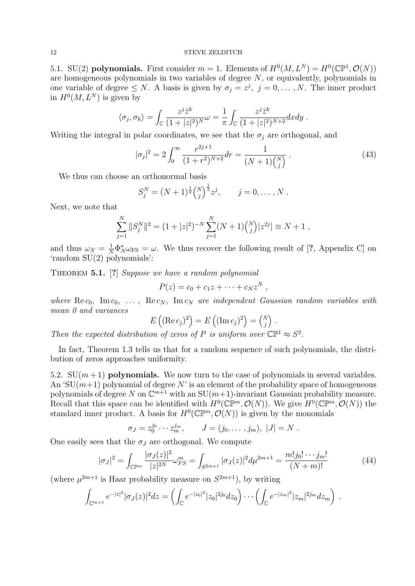5.1. SU(2) polynomials. First consider  $m = 1$ . Elements of  $H^0(M, L^N) = H^0(\mathbb{CP}^1, \mathcal{O}(N))$ are homogeneous polynomials in two variables of degree N, or equivalently, polynomials in one variable of degree  $\leq N$ . A basis is given by  $\sigma_j = z^j$ ,  $j = 0, \ldots, N$ . The inner product in  $H^0(M, L^N)$  is given by

$$
\langle \sigma_j, \sigma_k \rangle = \int_{\mathbb{C}} \frac{z^j \bar{z}^k}{(1+|z|^2)^N} \omega = \frac{1}{\pi} \int_{\mathbb{C}} \frac{z^j \bar{z}^k}{(1+|z|^2)^{N+2}} dx dy.
$$

Writing the integral in polar coordinates, we see that the  $\sigma_j$  are orthogonal, and

$$
|\sigma_j|^2 = 2 \int_0^\infty \frac{r^{2j+1}}{(1+r^2)^{N+2}} dr = \frac{1}{(N+1)\binom{N}{j}}.
$$
\n(43)

We thus can choose an orthonormal basis

$$
S_j^N = (N+1)^{\frac{1}{2}} {N \choose j}^{\frac{1}{2}} z^j, \qquad j = 0, \ldots, N.
$$

Next, we note that

$$
\sum_{j=1}^{N} ||S_j^N||^2 = (1+|z|^2)^{-N} \sum_{j=1}^{N} (N+1) {N \choose j} |z^{2j}| \equiv N+1,
$$

and thus  $\omega_N = \frac{1}{N} \Phi_N^* \omega_{\text{FS}} = \omega$ . We thus recover the following result of [?, Appendix C] on 'random SU(2) polynomials':

THEOREM 5.1. [?] Suppose we have a random polynomial

$$
P(z) = c_0 + c_1 z + \cdots + c_N z^N,
$$

where  $\text{Re } c_0$ ,  $\text{Im } c_0$ , ...,  $\text{Re } c_N$ ,  $\text{Im } c_N$  are independent Gaussian random variables with mean 0 and variances  $\overline{a}$ ´  $\overline{a}$ ´  $\overline{a}$ ´

$$
E\left((\mathrm{Re}\,c_j)^2\right) = E\left((\mathrm{Im}\,c_j)^2\right) = \binom{N}{j}.
$$

Then the expected distribution of zeros of P is uniform over  $\mathbb{CP}^1 \approx S^2$ .

In fact, Theorem 1.3 tells us that for a random sequence of such polynomials, the distribution of zeros approaches uniformity.

5.2.  $SU(m+1)$  polynomials. We now turn to the case of polynomials in several variables. An 'SU $(m+1)$  polynomial of degree N' is an element of the probability space of homogeneous polynomials of degree N on  $\mathbb{C}^{m+1}$  with an  $SU(m+1)$ -invariant Gaussian probability measure. Recall that this space can be identified with  $H^0(\mathbb{CP}^m, \mathcal{O}(N))$ . We give  $H^0(\mathbb{CP}^m, \mathcal{O}(N))$  the standard inner product. A basis for  $H^0(\mathbb{CP}^m, \mathcal{O}(N))$  is given by the monomials

$$
\sigma_J = z_0^{j_0} \cdots z_m^{j_m}, \qquad J = (j_0, \ldots, j_m), |J| = N.
$$

One easily sees that the  $\sigma_J$  are orthogonal. We compute

$$
|\sigma_J|^2 = \int_{\mathbb{CP}^m} \frac{|\sigma_J(z)|^2}{|z|^{2N}} \omega_{FS}^m = \int_{S^{2m+1}} |\sigma_J(z)|^2 d\mu^{2m+1} = \frac{m! j_0! \cdots j_m!}{(N+m)!} \tag{44}
$$

(where  $\mu^{2m+1}$  is Haar probability measure on  $S^{2m+1}$ ), by writing

$$
\int_{\mathbb{C}^{m+1}} e^{-|z|^2} |\sigma_J(z)|^2 dz = \left( \int_{\mathbb{C}} e^{-|z_0|^2} |z_0|^{2j_0} dz_0 \right) \cdots \left( \int_{\mathbb{C}} e^{-|z_m|^2} |z_m|^{2j_m} dz_m \right) .
$$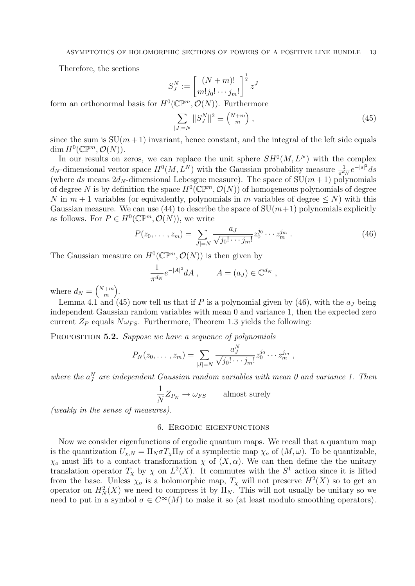Therefore, the sections

$$
S_J^N := \left[\frac{(N+m)!}{m!j_0!\cdots j_m!}\right]^{\frac{1}{2}} z^J
$$

form an orthonormal basis for  $H^0(\mathbb{CP}^m, \mathcal{O}(N))$ . Furthermore

$$
\sum_{|J|=N} ||S_J^N||^2 \equiv \binom{N+m}{m} \,, \tag{45}
$$

since the sum is  $SU(m+1)$  invariant, hence constant, and the integral of the left side equals dim  $H^0(\mathbb{CP}^m,\mathcal{O}(N)).$ 

In our results on zeros, we can replace the unit sphere  $SH^0(M, L^N)$  with the complex  $d_N$ -dimensional vector space  $H^0(M, L^N)$  with the Gaussian probability measure  $\frac{1}{\pi^{d_N}}e^{-|s|^2}ds$ (where ds means  $2d_N$ -dimensional Lebesgue measure). The space of  $SU(m+1)$  polynomials of degree N is by definition the space  $H^0(\mathbb{CP}^m, \mathcal{O}(N))$  of homogeneous polynomials of degree N in  $m + 1$  variables (or equivalently, polynomials in m variables of degree  $\leq N$ ) with this Gaussian measure. We can use (44) to describe the space of  $SU(m+1)$  polynomials explicitly as follows. For  $P \in H^0(\mathbb{CP}^m, \mathcal{O}(N))$ , we write

$$
P(z_0, \ldots, z_m) = \sum_{|J|=N} \frac{a_J}{\sqrt{j_0! \cdots j_m!}} z_0^{j_0} \cdots z_m^{j_m} . \tag{46}
$$

The Gaussian measure on  $H^0(\mathbb{CP}^m, \mathcal{O}(N))$  is then given by

$$
\frac{1}{\pi^{d_N}}e^{-|A|^2}dA, \qquad A=(a_J)\in\mathbb{C}^{d_N},
$$

where  $d_N =$  $(N+m)$ m ´ .

Lemma 4.1 and (45) now tell us that if P is a polynomial given by (46), with the  $a<sub>J</sub>$  being independent Gaussian random variables with mean 0 and variance 1, then the expected zero current  $Z_P$  equals  $N\omega_{FS}$ . Furthermore, Theorem 1.3 yields the following:

PROPOSITION 5.2. Suppose we have a sequence of polynomials

$$
P_N(z_0, \ldots, z_m) = \sum_{|J|=N} \frac{a_J^N}{\sqrt{j_0! \cdots j_m!}} z_0^{j_0} \cdots z_m^{j_m},
$$

where the  $a_j^N$  are independent Gaussian random variables with mean 0 and variance 1. Then

$$
\frac{1}{N}Z_{P_N} \to \omega_{FS} \qquad \text{almost surely}
$$

(weakly in the sense of measures).

#### 6. Ergodic eigenfunctions

Now we consider eigenfunctions of ergodic quantum maps. We recall that a quantum map is the quantization  $U_{\chi,N} = \Pi_N \sigma T_{\chi} \Pi_N$  of a symplectic map  $\chi_o$  of  $(M,\omega)$ . To be quantizable,  $\chi_o$  must lift to a contact transformation  $\chi$  of  $(X, \alpha)$ . We can then define the unitary translation operator  $T_{\chi}$  by  $\chi$  on  $L^2(X)$ . It commutes with the  $S^1$  action since it is lifted from the base. Unless  $\chi_o$  is a holomorphic map,  $T_\chi$  will not preserve  $H^2(X)$  so to get an operator on  $H_N^2(X)$  we need to compress it by  $\Pi_N$ . This will not usually be unitary so we need to put in a symbol  $\sigma \in C^{\infty}(M)$  to make it so (at least modulo smoothing operators).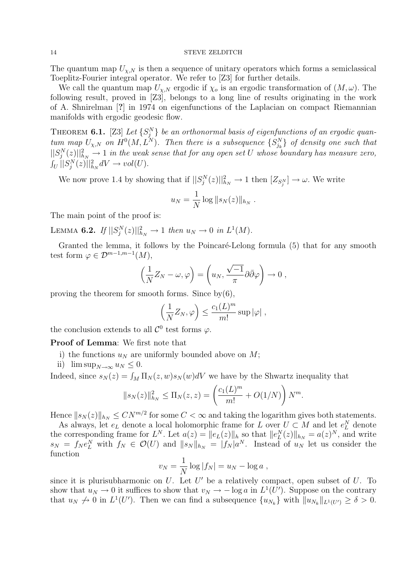The quantum map  $U_{\chi,N}$  is then a sequence of unitary operators which forms a semiclassical Toeplitz-Fourier integral operator. We refer to [Z3] for further details.

We call the quantum map  $U_{\chi,N}$  ergodic if  $\chi_o$  is an ergodic transformation of  $(M,\omega)$ . The following result, proved in [Z3], belongs to a long line of results originating in the work of A. Shnirelman [?] in 1974 on eigenfunctions of the Laplacian on compact Riemannian manifolds with ergodic geodesic flow.

THEOREM 6.1. [Z3] Let  $\{S_j^N\}$  be an orthonormal basis of eigenfunctions of an ergodic quantum map  $U_{\chi,N}$  on  $H^0(M, L^N)$ . Then there is a subsequence  $\{S_{j_k}^N\}$  of density one such that  $\frac{||S_i^N(z)||_{h_N}^2}{||S_i^N(z)||_{h_N}^2} \to 1$  in the weak sense that for any open set U whose boundary has measure zero,  $\int_U ||S_j^N(z)||^2_{h_N} dV \to vol(U).$ 

We now prove 1.4 by showing that if  $||S_j^N(z)||_{h_N}^2 \to 1$  then  $[Z_{S_j^N}] \to \omega$ . We write

$$
u_N = \frac{1}{N} \log ||s_N(z)||_{h_N} .
$$

The main point of the proof is:

LEMMA 6.2. If  $||S_j^N(z)||_{h_N}^2 \to 1$  then  $u_N \to 0$  in  $L^1(M)$ .

Granted the lemma, it follows by the Poincaré-Lelong formula (5) that for any smooth test form  $\varphi \in \mathcal{D}^{m-1,m-1}(M)$ ,

$$
\left(\frac{1}{N}Z_N-\omega,\varphi\right)=\left(u_N,\frac{\sqrt{-1}}{\pi}\partial\bar{\partial}\varphi\right)\to 0,
$$

proving the theorem for smooth forms. Since by $(6)$ ,

$$
\left(\frac{1}{N}Z_N,\varphi\right) \le \frac{c_1(L)^m}{m!} \sup |\varphi| ,
$$

the conclusion extends to all  $\mathcal{C}^0$  test forms  $\varphi$ .

Proof of Lemma: We first note that

- i) the functions  $u_N$  are uniformly bounded above on M;
- ii)  $\limsup_{N\to\infty}u_N\leq 0.$

Indeed, since  $s_N(z) = \int_M \Pi_N(z, w) s_N(w) dV$  we have by the Shwartz inequality that

$$
||s_N(z)||_{h_N}^2 \leq \Pi_N(z, z) = \left(\frac{c_1(L)^m}{m!} + O(1/N)\right)N^m.
$$

Hence  $||s_N(z)||_{h_N} \leq CN^{m/2}$  for some  $C < \infty$  and taking the logarithm gives both statements.

As always, let  $e_L$  denote a local holomorphic frame for L over  $U \subset M$  and let  $e_L^N$  denote the corresponding frame for  $L^N$ . Let  $a(z) = ||e_L(z)||_h$  so that  $||e_L^N(z)||_{h_N} = a(z)^N$ , and write  $s_N = f_N e_L^N$  with  $f_N \in \mathcal{O}(U)$  and  $||s_N||_{h_N} = |f_N| a^N$ . Instead of  $u_N$  let us consider the function

$$
v_N = \frac{1}{N} \log |f_N| = u_N - \log a,
$$

since it is plurisubharmonic on  $U$ . Let  $U'$  be a relatively compact, open subset of  $U$ . To show that  $u_N \to 0$  it suffices to show that  $v_N \to -\log a$  in  $L^1(U')$ . Suppose on the contrary that  $u_N \nightharpoonup 0$  in  $L^1(U')$ . Then we can find a subsequence  $\{u_{N_k}\}\$  with  $||u_{N_k}||_{L^1(U')} \geq \delta > 0$ .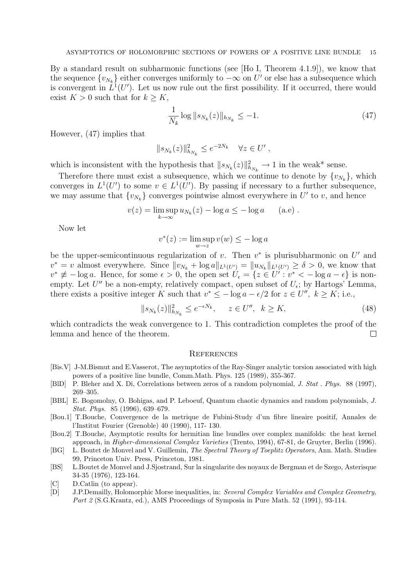By a standard result on subharmonic functions (see [Ho I, Theorem 4.1.9]), we know that the sequence  $\{v_{N_k}\}\$ either converges uniformly to  $-\infty$  on  $U'$  or else has a subsequence which is convergent in  $L^1(U')$ . Let us now rule out the first possibility. If it occurred, there would exist  $K > 0$  such that for  $k \geq K$ ,

$$
\frac{1}{N_k} \log \|s_{N_k}(z)\|_{h_{N_k}} \le -1. \tag{47}
$$

However, (47) implies that

$$
||s_{N_k}(z)||_{h_{N_k}}^2 \le e^{-2N_k} \quad \forall z \in U',
$$

which is inconsistent with the hypothesis that  $||s_{N_k}(z)||_{h_{N_k}}^2 \to 1$  in the weak\* sense.

Therefore there must exist a subsequence, which we continue to denote by  $\{v_{N_k}\}\,$  which converges in  $L^1(U')$  to some  $v \in L^1(U')$ . By passing if necessary to a further subsequence, we may assume that  $\{v_{N_k}\}$  converges pointwise almost everywhere in U' to v, and hence

$$
v(z) = \limsup_{k \to \infty} u_{N_k}(z) - \log a \leq -\log a \qquad (a.e) .
$$

Now let

$$
v^*(z) := \limsup_{w \to z} v(w) \le -\log a
$$

be the upper-semicontinuous regularization of v. Then  $v^*$  is plurisubharmonic on U' and  $v^* = v$  almost everywhere. Since  $||v_{N_k} + \log a||_{L^1(U')} = ||u_{N_k}||_{L^1(U')} \ge \delta > 0$ , we know that  $v^* \not\equiv -\log a$ . Hence, for some  $\epsilon > 0$ , the open set  $\hat{U}_{\epsilon} = \{z \in U^{\prime} : v^* < -\log a - \epsilon\}$  is nonempty. Let  $U''$  be a non-empty, relatively compact, open subset of  $U_{\epsilon}$ ; by Hartogs' Lemma, there exists a positive integer K such that  $v^* \le -\log a - \epsilon/2$  for  $z \in U''$ ,  $k \ge K$ ; i.e.,

$$
||s_{N_k}(z)||_{h_{N_k}}^2 \le e^{-\epsilon N_k}, \quad z \in U'', \quad k \ge K,\tag{48}
$$

which contradicts the weak convergence to 1. This contradiction completes the proof of the lemma and hence of the theorem.  $\Box$ 

#### **REFERENCES**

- [Bis.V] J-M.Bismut and E.Vasserot, The asymptotics of the Ray-Singer analytic torsion associated with high powers of a positive line bundle, Comm.Math. Phys. 125 (1989), 355-367.
- [BlD] P. Bleher and X. Di, Correlations between zeros of a random polynomial, J. Stat . Phys. 88 (1997), 269–305.
- [BBL] E. Bogomolny, O. Bohigas, and P. Leboeuf, Quantum chaotic dynamics and random polynomials, J. Stat. Phys. 85 (1996), 639–679.
- [Bou.1] T.Bouche, Convergence de la metrique de Fubini-Study d'un fibre lineaire positif, Annales de l'Institut Fourier (Grenoble) 40 (1990), 117- 130.
- [Bou.2] T.Bouche, Asymptotic results for hermitian line bundles over complex manifolds: the heat kernel approach, in Higher-dimensional Complex Varieties (Trento, 1994), 67-81, de Gruyter, Berlin (1996).
- [BG] L. Boutet de Monvel and V. Guillemin, The Spectral Theory of Toeplitz Operators, Ann. Math. Studies 99, Princeton Univ. Press, Princeton, 1981.
- [BS] L.Boutet de Monvel and J.Sjostrand, Sur la singularite des noyaux de Bergman et de Szego, Asterisque 34-35 (1976), 123-164.
- [C] D.Catlin (to appear).
- [D] J.P.Demailly, Holomorphic Morse inequalities, in: Several Complex Variables and Complex Geometry, Part 2 (S.G.Krantz, ed.), AMS Proceedings of Symposia in Pure Math. 52 (1991), 93-114.